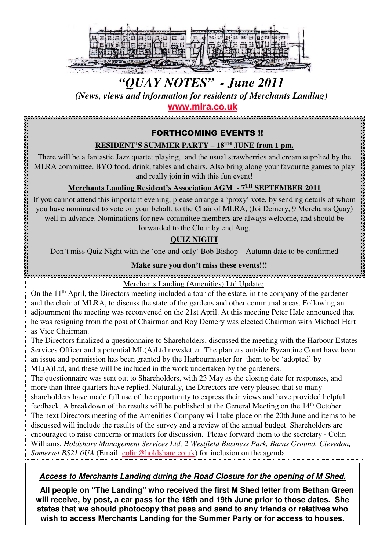

# *"QUAY NOTES" - June 2011*

*(News, views and information for residents of Merchants Landing)*

**www.mlra.co.uk**

# FORTHCOMING EVENTS !!

# **RESIDENT'S SUMMER PARTY – 18TH JUNE from 1 pm.**

There will be a fantastic Jazz quartet playing, and the usual strawberries and cream supplied by the MLRA committee. BYO food, drink, tables and chairs. Also bring along your favourite games to play and really join in with this fun event!

# **Merchants Landing Resident's Association AGM - 7TH SEPTEMBER 2011**

If you cannot attend this important evening, please arrange a 'proxy' vote, by sending details of whom you have nominated to vote on your behalf, to the Chair of MLRA, (Joi Demery, 9 Merchants Quay) well in advance. Nominations for new committee members are always welcome, and should be forwarded to the Chair by end Aug.

# **QUIZ NIGHT**

Don't miss Quiz Night with the 'one-and-only' Bob Bishop – Autumn date to be confirmed

### **Make sure you don't miss these events!!!**

Merchants Landing (Amenities) Ltd Update:

On the 11<sup>th</sup> April, the Directors meeting included a tour of the estate, in the company of the gardener and the chair of MLRA, to discuss the state of the gardens and other communal areas. Following an adjournment the meeting was reconvened on the 21st April. At this meeting Peter Hale announced that he was resigning from the post of Chairman and Roy Demery was elected Chairman with Michael Hart as Vice Chairman.

The Directors finalized a questionnaire to Shareholders, discussed the meeting with the Harbour Estates Services Officer and a potential ML(A)Ltd newsletter. The planters outside Byzantine Court have been an issue and permission has been granted by the Harbourmaster for them to be 'adopted' by ML(A)Ltd, and these will be included in the work undertaken by the gardeners.

The questionnaire was sent out to Shareholders, with 23 May as the closing date for responses, and more than three quarters have replied. Naturally, the Directors are very pleased that so many shareholders have made full use of the opportunity to express their views and have provided helpful feedback. A breakdown of the results will be published at the General Meeting on the 14<sup>th</sup> October. The next Directors meeting of the Amenities Company will take place on the 20th June and items to be discussed will include the results of the survey and a review of the annual budget. Shareholders are encouraged to raise concerns or matters for discussion. Please forward them to the secretary - Colin Williams, *Holdshare Management Services Ltd, 2 Westfield Business Park, Barns Ground, Clevedon, Somerset BS21 6UA* (Email: *colin@holdshare.co.uk*) for inclusion on the agenda.

# **Access to Merchants Landing during the Road Closure for the opening of M Shed.**

**All people on "The Landing" who received the first M Shed letter from Bethan Green will receive, by post, a car pass for the 18th and 19th June prior to those dates. She states that we should photocopy that pass and send to any friends or relatives who wish to access Merchants Landing for the Summer Party or for access to houses.**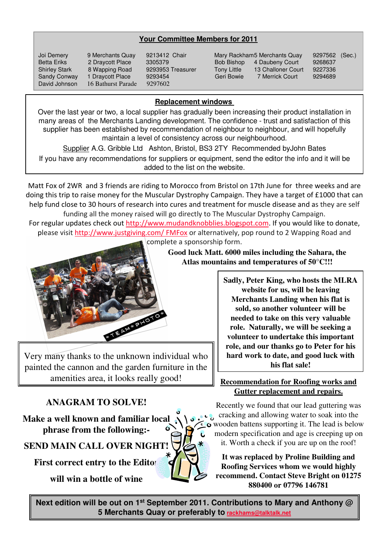#### **Your Committee Members for 2011**

David Johnson 16 Bathurst Parade 9297602

Joi Demery 9 Merchants Quay 9213412 Chair Mary Rackham5 Merchants Quay 9297562 (Sec.)<br>Betta Eriks 2 Draycott Place 3305379 Bob Bishop 4 Daubeny Court 9268637 Betta Eriks 2 Draycott Place 3305379 Bob Bishop 4 Daubeny Court 9268637 Shirley Stark 8 Wapping Road 9293953 Treasurer Tony Little 13 Challoner Court 9227336 Sandy Conway 1 Draycott Place 9293454 Geri Bowie 7 Merrick Court 9294689

#### **Replacement windows**

Over the last year or two, a local supplier has gradually been increasing their product installation in many areas of the Merchants Landing development. The confidence - trust and satisfaction of this supplier has been established by recommendation of neighbour to neighbour, and will hopefully maintain a level of consistency across our neighbourhood.

Supplier A.G. Gribble Ltd Ashton, Bristol, BS3 2TY Recommended byJohn Bates If you have any recommendations for suppliers or equipment, send the editor the info and it will be added to the list on the website.

Matt Fox of 2WR and 3 friends are riding to Morocco from Bristol on 17th June for three weeks and are doing this trip to raise money for the Muscular Dystrophy Campaign. They have a target of £1000 that can help fund close to 30 hours of research into cures and treatment for muscle disease and as they are self funding all the money raised will go directly to The Muscular Dystrophy Campaign.

For regular updates check out http://www.mudandknobblies.blogspot.com. If you would like to donate, please visit http://www.justgiving.com/ FMFox or alternatively, pop round to 2 Wapping Road and complete a sponsorship form.



Very many thanks to the unknown individual who painted the cannon and the garden furniture in the amenities area, it looks really good!

# **ANAGRAM TO SOLVE!**

**Make a well known and familiar local phrase from the following:-**

**SEND MAIN CALL OVER NIGHT!**

**First correct entry to the Editor** 

**will win a bottle of wine**

**Good luck Matt. 6000 miles including the Sahara, the Atlas mountains and temperatures of 50°C!!!**

> **Sadly, Peter King, who hosts the MLRA website for us, will be leaving Merchants Landing when his flat is sold, so another volunteer will be needed to take on this very valuable role. Naturally, we will be seeking a volunteer to undertake this important role, and our thanks go to Peter for his hard work to date, and good luck with his flat sale!**

#### **Recommendation for Roofing works and Gutter replacement and repairs.**

Recently we found that our lead guttering was cracking and allowing water to soak into the wooden battens supporting it. The lead is below modern specification and age is creeping up on it. Worth a check if you are up on the roof!

**It was replaced by Proline Building and Roofing Services whom we would highly recommend. Contact Steve Bright on 01275 880400 or 07796 146781**

**Next edition will be out on 1st September 2011. Contributions to Mary and Anthony @ 5 Merchants Quay or preferably to rackhams@talktalk.net**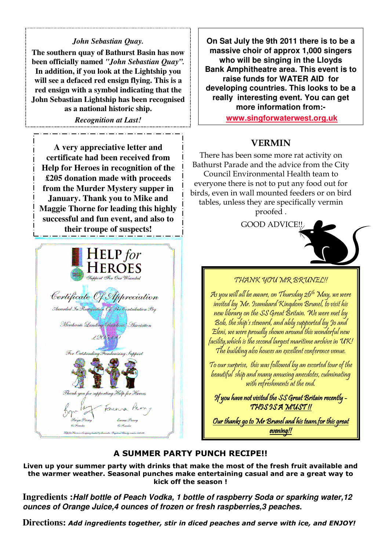#### *John Sebastian Quay.*

**The southern quay of Bathurst Basin has now been officially named** *"John Sebastian Quay".* **In addition, if you look at the Lightship you will see a defaced red ensign flying. This is a red ensign with a symbol indicating that the John Sebastian Lightship has been recognised as a national historic ship.**

#### *Recognition at Last!*

**A very appreciative letter and certificate had been received from Help for Heroes in recognition of the £205 donation made with proceeds from the Murder Mystery supper in January. Thank you to Mike and Maggie Thorne for leading this highly successful and fun event, and also to their troupe of suspects!**



**On Sat July the 9th 2011 there is to be a massive choir of approx 1,000 singers who will be singing in the Lloyds Bank Amphitheatre area. This event is to raise funds for WATER AID for developing countries. This looks to be a really interesting event. You can get more information from:-**

**www.singforwaterwest.org.uk**

# VERMIN

There has been some more rat activity on Bathurst Parade and the advice from the City Council Environmental Health team to everyone there is not to put any food out for birds, even in wall mounted feeders or on bird tables, unless they are specifically vermin proofed .

GOOD ADVICE!!



#### THANK YOU MR BRUNEL!!

As you will all be aware, on Thursday 26th May, we were invited by Mr. Isambard Kingdom Brunel, to visit his new library on the SS Great Britain. We were met by Bob, the ship's steward, and ably supported by Jo and Eleni, we were proudly shown around this wonderful new facility,which is the second largest maritime archive in UK! The building also houses an excellent conference venue.

To our surprise, this was followed by an escorted tour of the beautiful ship and many amusing anecdotes, culminating with refreshments at the end.

If you have not visited the SS Great Britain recently  $-$ THIS IS A MUST!!

Our thanks go to Mr Brunel and his team.for this great evening!!

#### A SUMMER PARTY PUNCH RECIPE!!

Liven up your summer party with drinks that make the most of the fresh fruit available and the warmer weather. Seasonal punches make entertaining casual and are a great way to kick off the season !

**Ingredients :Half bottle of Peach Vodka, 1 bottle of raspberry Soda or sparking water,12 ounces of Orange Juice,4 ounces of frozen or fresh raspberries,3 peaches.**

**Directions:** Add ingredients together, stir in diced peaches and serve with ice, and ENJOY!